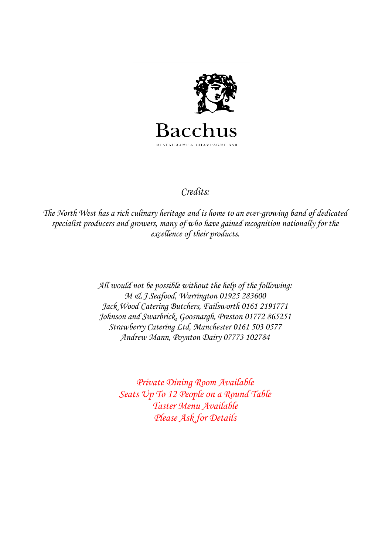

## *Credits:*

*The North West has a rich culinary heritage and is home to an ever-growing band of dedicated specialist producers and growers, many of who have gained recognition nationally for the excellence of their products.* 

> *All would not be possible without the help of the following: M & J Seafood, Warrington 01925 283600 Jack Wood Catering Butchers, Failsworth 0161 2191771 Johnson and Swarbrick, Goosnargh, Preston 01772 865251 Strawberry Catering Ltd, Manchester 0161 503 0577 Andrew Mann, Poynton Dairy 07773 102784*

> > *Private Dining Room Available Seats Up To 12 People on a Round Table Taster Menu Available Please Ask for Details*